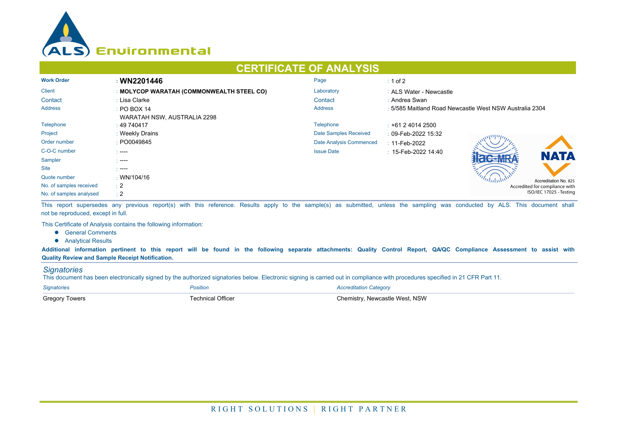

## **CERTIFICATE OF ANALYSIS**

| <b>Work Order</b>       | : WN2201446                               | Page                    | $\div$ 1 of 2                                           |  |  |
|-------------------------|-------------------------------------------|-------------------------|---------------------------------------------------------|--|--|
| <b>Client</b>           | : MOLYCOP WARATAH (COMMONWEALTH STEEL CO) | Laboratory              | : ALS Water - Newcastle                                 |  |  |
| Contact                 | : Lisa Clarke                             | Contact                 | : Andrea Swan                                           |  |  |
| <b>Address</b>          | $\div$ PO BOX 14                          | <b>Address</b>          | : 5/585 Maitland Road Newcastle West NSW Australia 2304 |  |  |
|                         | WARATAH NSW, AUSTRALIA 2298               |                         |                                                         |  |  |
| Telephone               | $\pm 49\,740417$                          | <b>Telephone</b>        | $\pm$ +61 2 4014 2500                                   |  |  |
| Project                 | : Weekly Drains                           | Date Samples Received   | : 09-Feb-2022 15:32                                     |  |  |
| Order number            | : PO0049845                               | Date Analysis Commenced | $: 11$ -Feb-2022                                        |  |  |
| C-O-C number            | $\sim$ ----                               | <b>Issue Date</b>       | $\pm$ 15-Feb-2022 14:40<br><b>NATA</b>                  |  |  |
| Sampler                 | - ----                                    |                         |                                                         |  |  |
| <b>Site</b>             | - ----                                    |                         |                                                         |  |  |
| Quote number            | $\cdot$ WN/104/16                         |                         | Accreditation No. 825                                   |  |  |
| No. of samples received | $\pm 2$                                   |                         | Accredited for compliance with                          |  |  |
| No. of samples analysed | $\div 2$                                  |                         | ISO/IEC 17025 - Testing                                 |  |  |

This report supersedes any previous report(s) with this reference. Results apply to the sample(s) as submitted, unless the sampling was conducted by ALS. This document shall not be reproduced, except in full.

This Certificate of Analysis contains the following information:

- **•** General Comments
- **•** Analytical Results

**Additional information pertinent to this report will be found in the following separate attachments: Quality Control Report, QA/QC Compliance Assessment to assist with Quality Review and Sample Receipt Notification.**

## *Signatories*

This document has been electronically signed by the authorized signatories below. Electronic signing is carried out in compliance with procedures specified in 21 CFR Part 11.

| <b>Signatories</b>    | <i><b>'osition</b></i> | Accreditation Category          |
|-----------------------|------------------------|---------------------------------|
| <b>Gregory Towers</b> | echnical Officer       | วิhemistrv. Newcastle West. NSW |